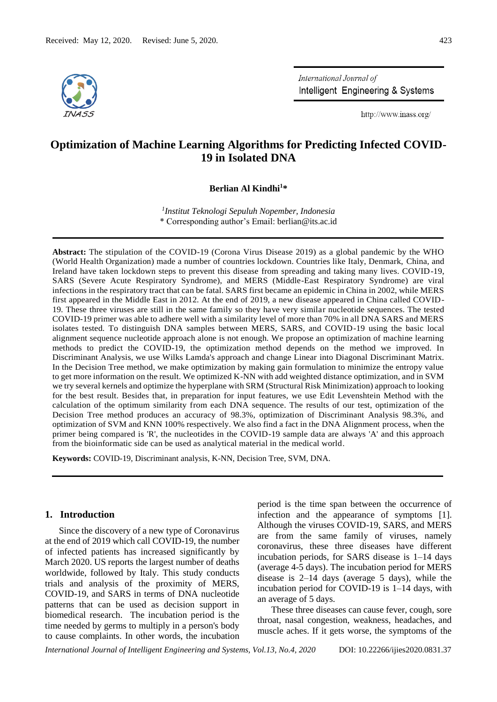

International Journal of Intelligent Engineering & Systems

http://www.inass.org/

# **Optimization of Machine Learning Algorithms for Predicting Infected COVID-19 in Isolated DNA**

**Berlian Al Kindhi<sup>1</sup>\***

*1 Institut Teknologi Sepuluh Nopember, Indonesia* \* Corresponding author's Email: berlian@its.ac.id

**Abstract:** The stipulation of the COVID-19 (Corona Virus Disease 2019) as a global pandemic by the WHO (World Health Organization) made a number of countries lockdown. Countries like Italy, Denmark, China, and Ireland have taken lockdown steps to prevent this disease from spreading and taking many lives. COVID-19, SARS (Severe Acute Respiratory Syndrome), and MERS (Middle-East Respiratory Syndrome) are viral infections in the respiratory tract that can be fatal. SARS first became an epidemic in China in 2002, while MERS first appeared in the Middle East in 2012. At the end of 2019, a new disease appeared in China called COVID-19. These three viruses are still in the same family so they have very similar nucleotide sequences. The tested COVID-19 primer was able to adhere well with a similarity level of more than 70% in all DNA SARS and MERS isolates tested. To distinguish DNA samples between MERS, SARS, and COVID-19 using the basic local alignment sequence nucleotide approach alone is not enough. We propose an optimization of machine learning methods to predict the COVID-19, the optimization method depends on the method we improved. In Discriminant Analysis, we use Wilks Lamda's approach and change Linear into Diagonal Discriminant Matrix. In the Decision Tree method, we make optimization by making gain formulation to minimize the entropy value to get more information on the result. We optimized K-NN with add weighted distance optimization, and in SVM we try several kernels and optimize the hyperplane with SRM (Structural Risk Minimization) approach to looking for the best result. Besides that, in preparation for input features, we use Edit Levenshtein Method with the calculation of the optimum similarity from each DNA sequence. The results of our test, optimization of the Decision Tree method produces an accuracy of 98.3%, optimization of Discriminant Analysis 98.3%, and optimization of SVM and KNN 100% respectively. We also find a fact in the DNA Alignment process, when the primer being compared is 'R', the nucleotides in the COVID-19 sample data are always 'A' and this approach from the bioinformatic side can be used as analytical material in the medical world.

**Keywords:** COVID-19, Discriminant analysis, K-NN, Decision Tree, SVM, DNA.

## **1. Introduction**

Since the discovery of a new type of Coronavirus at the end of 2019 which call COVID-19, the number of infected patients has increased significantly by March 2020. US reports the largest number of deaths worldwide, followed by Italy. This study conducts trials and analysis of the proximity of MERS, COVID-19, and SARS in terms of DNA nucleotide patterns that can be used as decision support in biomedical research. The incubation period is the time needed by germs to multiply in a person's body to cause complaints. In other words, the incubation

period is the time span between the occurrence of infection and the appearance of symptoms [1]. Although the viruses COVID-19, SARS, and MERS are from the same family of viruses, namely coronavirus, these three diseases have different incubation periods, for SARS disease is 1–14 days (average 4-5 days). The incubation period for MERS disease is 2–14 days (average 5 days), while the incubation period for COVID-19 is 1–14 days, with an average of 5 days.

These three diseases can cause fever, cough, sore throat, nasal congestion, weakness, headaches, and muscle aches. If it gets worse, the symptoms of the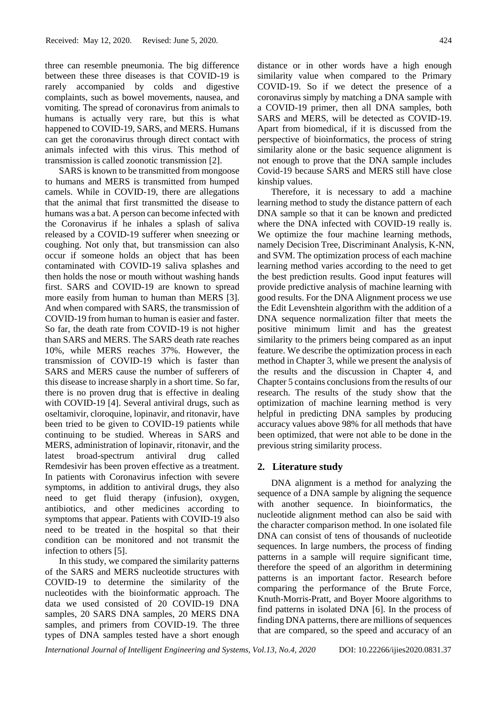three can resemble pneumonia. The big difference between these three diseases is that COVID-19 is rarely accompanied by colds and digestive complaints, such as bowel movements, nausea, and vomiting. The spread of coronavirus from animals to humans is actually very rare, but this is what happened to COVID-19, SARS, and MERS. Humans can get the coronavirus through direct contact with animals infected with this virus. This method of transmission is called zoonotic transmission [2].

SARS is known to be transmitted from mongoose to humans and MERS is transmitted from humped camels. While in COVID-19, there are allegations that the animal that first transmitted the disease to humans was a bat. A person can become infected with the Coronavirus if he inhales a splash of saliva released by a COVID-19 sufferer when sneezing or coughing. Not only that, but transmission can also occur if someone holds an object that has been contaminated with COVID-19 saliva splashes and then holds the nose or mouth without washing hands first. SARS and COVID-19 are known to spread more easily from human to human than MERS [3]. And when compared with SARS, the transmission of COVID-19 from human to human is easier and faster. So far, the death rate from COVID-19 is not higher than SARS and MERS. The SARS death rate reaches 10%, while MERS reaches 37%. However, the transmission of COVID-19 which is faster than SARS and MERS cause the number of sufferers of this disease to increase sharply in a short time. So far, there is no proven drug that is effective in dealing with COVID-19 [4]. Several antiviral drugs, such as oseltamivir, cloroquine, lopinavir, and ritonavir, have been tried to be given to COVID-19 patients while continuing to be studied. Whereas in SARS and MERS, administration of lopinavir, ritonavir, and the latest broad-spectrum antiviral drug called Remdesivir has been proven effective as a treatment. In patients with Coronavirus infection with severe symptoms, in addition to antiviral drugs, they also need to get fluid therapy (infusion), oxygen, antibiotics, and other medicines according to symptoms that appear. Patients with COVID-19 also need to be treated in the hospital so that their condition can be monitored and not transmit the infection to others [5].

In this study, we compared the similarity patterns of the SARS and MERS nucleotide structures with COVID-19 to determine the similarity of the nucleotides with the bioinformatic approach. The data we used consisted of 20 COVID-19 DNA samples, 20 SARS DNA samples, 20 MERS DNA samples, and primers from COVID-19. The three types of DNA samples tested have a short enough distance or in other words have a high enough similarity value when compared to the Primary COVID-19. So if we detect the presence of a coronavirus simply by matching a DNA sample with a COVID-19 primer, then all DNA samples, both SARS and MERS, will be detected as COVID-19. Apart from biomedical, if it is discussed from the perspective of bioinformatics, the process of string similarity alone or the basic sequence alignment is not enough to prove that the DNA sample includes Covid-19 because SARS and MERS still have close kinship values.

Therefore, it is necessary to add a machine learning method to study the distance pattern of each DNA sample so that it can be known and predicted where the DNA infected with COVID-19 really is. We optimize the four machine learning methods, namely Decision Tree, Discriminant Analysis, K-NN, and SVM. The optimization process of each machine learning method varies according to the need to get the best prediction results. Good input features will provide predictive analysis of machine learning with good results. For the DNA Alignment process we use the Edit Levenshtein algorithm with the addition of a DNA sequence normalization filter that meets the positive minimum limit and has the greatest similarity to the primers being compared as an input feature. We describe the optimization process in each method in Chapter 3, while we present the analysis of the results and the discussion in Chapter 4, and Chapter 5 contains conclusions from the results of our research. The results of the study show that the optimization of machine learning method is very helpful in predicting DNA samples by producing accuracy values above 98% for all methods that have been optimized, that were not able to be done in the previous string similarity process.

### **2. Literature study**

DNA alignment is a method for analyzing the sequence of a DNA sample by aligning the sequence with another sequence. In bioinformatics, the nucleotide alignment method can also be said with the character comparison method. In one isolated file DNA can consist of tens of thousands of nucleotide sequences. In large numbers, the process of finding patterns in a sample will require significant time, therefore the speed of an algorithm in determining patterns is an important factor. Research before comparing the performance of the Brute Force, Knuth-Morris-Pratt, and Boyer Moore algorithms to find patterns in isolated DNA [6]. In the process of finding DNA patterns, there are millions of sequences that are compared, so the speed and accuracy of an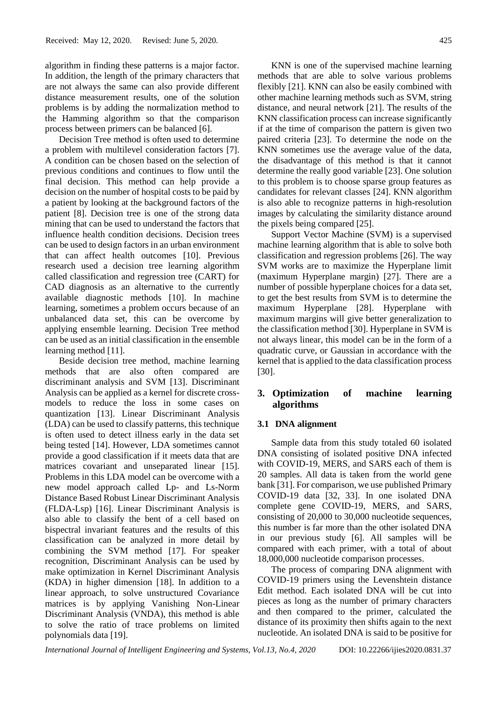algorithm in finding these patterns is a major factor. In addition, the length of the primary characters that are not always the same can also provide different distance measurement results, one of the solution problems is by adding the normalization method to the Hamming algorithm so that the comparison process between primers can be balanced [6].

Decision Tree method is often used to determine a problem with multilevel consideration factors [7]. A condition can be chosen based on the selection of previous conditions and continues to flow until the final decision. This method can help provide a decision on the number of hospital costs to be paid by a patient by looking at the background factors of the patient [8]. Decision tree is one of the strong data mining that can be used to understand the factors that influence health condition decisions. Decision trees can be used to design factors in an urban environment that can affect health outcomes [10]. Previous research used a decision tree learning algorithm called classification and regression tree (CART) for CAD diagnosis as an alternative to the currently available diagnostic methods [10]. In machine learning, sometimes a problem occurs because of an unbalanced data set, this can be overcome by applying ensemble learning. Decision Tree method can be used as an initial classification in the ensemble learning method [11].

Beside decision tree method, machine learning methods that are also often compared are discriminant analysis and SVM [13]. Discriminant Analysis can be applied as a kernel for discrete crossmodels to reduce the loss in some cases on quantization [13]. Linear Discriminant Analysis (LDA) can be used to classify patterns, this technique is often used to detect illness early in the data set being tested [14]. However, LDA sometimes cannot provide a good classification if it meets data that are matrices covariant and unseparated linear [15]. Problems in this LDA model can be overcome with a new model approach called Lp- and Ls-Norm Distance Based Robust Linear Discriminant Analysis (FLDA-Lsp) [16]. Linear Discriminant Analysis is also able to classify the bent of a cell based on bispectral invariant features and the results of this classification can be analyzed in more detail by combining the SVM method [17]. For speaker recognition, Discriminant Analysis can be used by make optimization in Kernel Discriminant Analysis (KDA) in higher dimension [18]. In addition to a linear approach, to solve unstructured Covariance matrices is by applying Vanishing Non-Linear Discriminant Analysis (VNDA), this method is able to solve the ratio of trace problems on limited polynomials data [19].

KNN is one of the supervised machine learning methods that are able to solve various problems flexibly [21]. KNN can also be easily combined with other machine learning methods such as SVM, string distance, and neural network [21]. The results of the KNN classification process can increase significantly if at the time of comparison the pattern is given two paired criteria [23]. To determine the node on the KNN sometimes use the average value of the data, the disadvantage of this method is that it cannot determine the really good variable [23]. One solution to this problem is to choose sparse group features as candidates for relevant classes [24]. KNN algorithm is also able to recognize patterns in high-resolution images by calculating the similarity distance around the pixels being compared [25].

Support Vector Machine (SVM) is a supervised machine learning algorithm that is able to solve both classification and regression problems [26]. The way SVM works are to maximize the Hyperplane limit (maximum Hyperplane margin) [27]. There are a number of possible hyperplane choices for a data set, to get the best results from SVM is to determine the maximum Hyperplane [28]. Hyperplane with maximum margins will give better generalization to the classification method [30]. Hyperplane in SVM is not always linear, this model can be in the form of a quadratic curve, or Gaussian in accordance with the kernel that is applied to the data classification process [30].

## **3. Optimization of machine learning algorithms**

### **3.1 DNA alignment**

Sample data from this study totaled 60 isolated DNA consisting of isolated positive DNA infected with COVID-19, MERS, and SARS each of them is 20 samples. All data is taken from the world gene bank [31]. For comparison, we use published Primary COVID-19 data [32, 33]. In one isolated DNA complete gene COVID-19, MERS, and SARS, consisting of 20,000 to 30,000 nucleotide sequences, this number is far more than the other isolated DNA in our previous study [6]. All samples will be compared with each primer, with a total of about 18,000,000 nucleotide comparison processes.

The process of comparing DNA alignment with COVID-19 primers using the Levenshtein distance Edit method. Each isolated DNA will be cut into pieces as long as the number of primary characters and then compared to the primer, calculated the distance of its proximity then shifts again to the next nucleotide. An isolated DNA is said to be positive for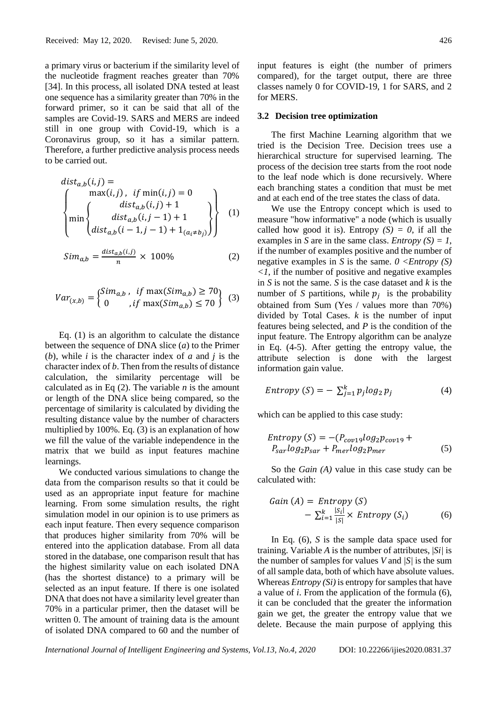a primary virus or bacterium if the similarity level of the nucleotide fragment reaches greater than 70% [34]. In this process, all isolated DNA tested at least one sequence has a similarity greater than 70% in the forward primer, so it can be said that all of the samples are Covid-19. SARS and MERS are indeed still in one group with Covid-19, which is a Coronavirus group, so it has a similar pattern. Therefore, a further predictive analysis process needs to be carried out.

$$
dist_{a,b}(i,j) = \begin{cases} \max(i,j), & if \min(i,j) = 0 \\ \min\begin{cases} dist_{a,b}(i,j) + 1 \\ dist_{a,b}(i,j-1) + 1 \\ dist_{a,b}(i-1,j-1) + 1_{(a_i \neq b_j)} \end{cases} \end{cases}
$$
 (1)

$$
Sim_{a,b} = \frac{dist_{a,b}(i,j)}{n} \times 100\%
$$
 (2)

$$
Var_{(x,b)} = \begin{cases} Sim_{a,b} , & \text{if } \max(Sim_{a,b}) \ge 70 \\ 0 , & \text{if } \max(Sim_{a,b}) \le 70 \end{cases}
$$
 (3)

Eq. (1) is an algorithm to calculate the distance between the sequence of DNA slice (*a*) to the Primer (*b*), while *i* is the character index of *a* and *j* is the character index of *b*. Then from the results of distance calculation, the similarity percentage will be calculated as in Eq  $(2)$ . The variable *n* is the amount or length of the DNA slice being compared, so the percentage of similarity is calculated by dividing the resulting distance value by the number of characters multiplied by 100%. Eq. (3) is an explanation of how we fill the value of the variable independence in the matrix that we build as input features machine learnings.

We conducted various simulations to change the data from the comparison results so that it could be used as an appropriate input feature for machine learning. From some simulation results, the right simulation model in our opinion is to use primers as each input feature. Then every sequence comparison that produces higher similarity from 70% will be entered into the application database. From all data stored in the database, one comparison result that has the highest similarity value on each isolated DNA (has the shortest distance) to a primary will be selected as an input feature. If there is one isolated DNA that does not have a similarity level greater than 70% in a particular primer, then the dataset will be written 0. The amount of training data is the amount of isolated DNA compared to 60 and the number of input features is eight (the number of primers compared), for the target output, there are three classes namely 0 for COVID-19, 1 for SARS, and 2 for MERS.

#### **3.2 Decision tree optimization**

The first Machine Learning algorithm that we tried is the Decision Tree. Decision trees use a hierarchical structure for supervised learning. The process of the decision tree starts from the root node to the leaf node which is done recursively. Where each branching states a condition that must be met and at each end of the tree states the class of data.

We use the Entropy concept which is used to measure "how informative" a node (which is usually called how good it is). Entropy  $(S) = 0$ , if all the examples in *S* are in the same class. *Entropy*  $(S) = 1$ , if the number of examples positive and the number of negative examples in *S* is the same.  $0 \leq Entropy(S)$  $\langle 1 \rangle$ , if the number of positive and negative examples in *S* is not the same. *S* is the case dataset and *k* is the number of *S* partitions, while  $p_j$  is the probability obtained from Sum (Yes / values more than 70%) divided by Total Cases. *k* is the number of input features being selected, and *P* is the condition of the input feature. The Entropy algorithm can be analyze in Eq. (4-5). After getting the entropy value, the attribute selection is done with the largest information gain value.

$$
Entropy(S) = -\sum_{j=1}^{k} p_j log_2 p_j \tag{4}
$$

which can be applied to this case study:

$$
Entropy (S) = -(P_{cov19}log_2 p_{cov19} + P_{sar}log_2 p_{sar} + P_{mer}log_2 p_{mer}
$$
\n
$$
(5)
$$

So the *Gain (A)* value in this case study can be calculated with:

Gain (A) = Entropy (S)  
- 
$$
\sum_{i=1}^{k} \frac{|S_i|}{|S|} \times Entropy (S_i)
$$
 (6)

In Eq. (6), *S* is the sample data space used for training. Variable *A* is the number of attributes, |*Si|* is the number of samples for values *V* and *|S|* is the sum of allsample data, both of which have absolute values. Whereas  $Entropy(S_i)$  is entropy for samples that have a value of *i*. From the application of the formula (6), it can be concluded that the greater the information gain we get, the greater the entropy value that we delete. Because the main purpose of applying this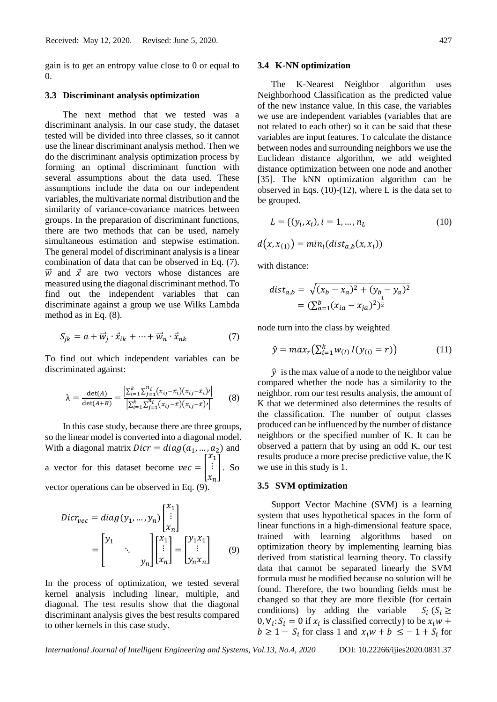gain is to get an entropy value close to 0 or equal to 0.

#### **3.3 Discriminant analysis optimization**

The next method that we tested was a discriminant analysis. In our case study, the dataset tested will be divided into three classes, so it cannot use the linear discriminant analysis method. Then we do the discriminant analysis optimization process by forming an optimal discriminant function with several assumptions about the data used. These assumptions include the data on our independent variables, the multivariate normal distribution and the similarity of variance-covariance matrices between groups. In the preparation of discriminant functions, there are two methods that can be used, namely simultaneous estimation and stepwise estimation. The general model of discriminant analysis is a linear combination of data that can be observed in Eq. (7).  $\vec{w}$  and  $\vec{x}$  are two vectors whose distances are measured using the diagonal discriminant method. To find out the independent variables that can discriminate against a group we use Wilks Lambda method as in Eq. (8).

$$
S_{jk} = a + \vec{w}_j \cdot \vec{x}_{ik} + \dots + \vec{w}_n \cdot \vec{x}_{nk}
$$
 (7)

To find out which independent variables can be discriminated against:

$$
\lambda = \frac{\det(A)}{\det(A+B)} = \frac{\left| \sum_{i=1}^{k} \sum_{j=1}^{n_i} (x_{ij} - \bar{x}_i)(x_{ij} - \bar{x}_i) \prime \right|}{\left| \sum_{i=1}^{k} \sum_{j=1}^{n_i} (x_{ij} - \bar{x})(x_{ij} - \bar{x}) \prime \right|} \tag{8}
$$

In this case study, because there are three groups, so the linear model is converted into a diagonal model. With a diagonal matrix  $Dicr = diag(a_1, ..., a_2)$  and a vector for this dataset become  $vec = |$  $x_1$ ⋮  $x_n$ ]. So vector operations can be observed in Eq. (9).

$$
Dicr_{vec} = diag(y_1, ..., y_n) \begin{bmatrix} x_1 \\ \vdots \\ x_n \end{bmatrix}
$$

$$
= \begin{bmatrix} y_1 \\ \vdots \\ y_n \end{bmatrix} \begin{bmatrix} x_1 \\ \vdots \\ x_n \end{bmatrix} = \begin{bmatrix} y_1 x_1 \\ \vdots \\ y_n x_n \end{bmatrix} \qquad (9)
$$

 $11.21$ 

In the process of optimization, we tested several kernel analysis including linear, multiple, and diagonal. The test results show that the diagonal discriminant analysis gives the best results compared to other kernels in this case study.

#### **3.4 K-NN optimization**

The K-Nearest Neighbor algorithm uses Neighborhood Classification as the predicted value of the new instance value. In this case, the variables we use are independent variables (variables that are not related to each other) so it can be said that these variables are input features. To calculate the distance between nodes and surrounding neighbors we use the Euclidean distance algorithm, we add weighted distance optimization between one node and another [35]. The kNN optimization algorithm can be observed in Eqs.  $(10)-(12)$ , where L is the data set to be grouped.

$$
L = \{ (y_i, x_i), i = 1, ..., n_L \tag{10} \}
$$

$$
d(x, x_{(1)}) = min_i(dist_{a,b}(x, x_i))
$$

with distance:

$$
dist_{a,b} = \sqrt{(x_b - x_a)^2 + (y_b - y_a)^2}
$$

$$
= (\sum_{a=1}^{b} (x_{ia} - x_{ja})^2)^{\frac{1}{2}}
$$

node turn into the class by weighted

$$
\hat{y} = max_r \left( \sum_{i=1}^{k} w_{(I)} I(y_{(i)} = r) \right)
$$
 (11)

 $\hat{y}$  is the max value of a node to the neighbor value compared whether the node has a similarity to the neighbor. rom our test results analysis, the amount of K that we determined also determines the results of the classification. The number of output classes produced can be influenced by the number of distance neighbors or the specified number of K. It can be observed a pattern that by using an odd K, our test results produce a more precise predictive value, the K we use in this study is 1.

#### **3.5 SVM optimization**

Support Vector Machine (SVM) is a learning system that uses hypothetical spaces in the form of linear functions in a high-dimensional feature space, trained with learning algorithms based on optimization theory by implementing learning bias derived from statistical learning theory. To classify data that cannot be separated linearly the SVM formula must be modified because no solution will be found. Therefore, the two bounding fields must be changed so that they are more flexible (for certain conditions) by adding the variable  $S_i$  ( $S_i \geq$  $0, \forall i: S_i = 0$  if  $x_i$  is classified correctly) to be  $x_i w$  +  $b \ge 1 - S_i$  for class 1 and  $x_i w + b \le -1 + S_i$  for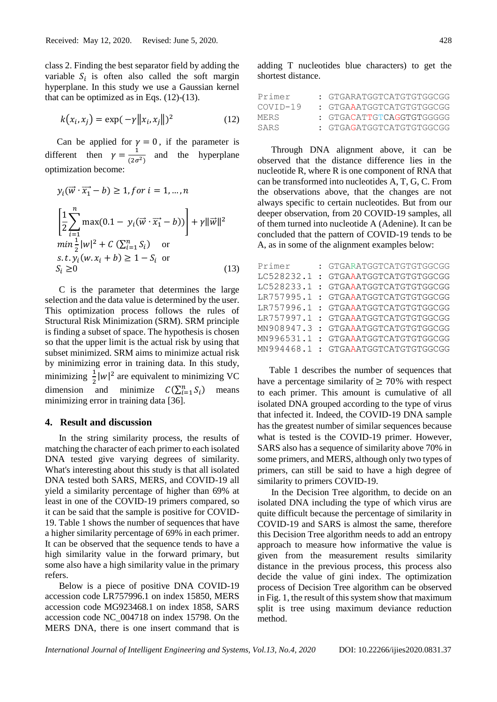class 2. Finding the best separator field by adding the variable  $S_i$  is often also called the soft margin hyperplane. In this study we use a Gaussian kernel that can be optimized as in Eqs.  $(12)-(13)$ .

$$
k(x_i, x_j) = \exp(-\gamma ||x_i, x_j||)^2
$$
 (12)

Can be applied for  $\gamma = 0$ , if the parameter is different then  $\gamma = \frac{1}{\sqrt{2}}$  $\frac{1}{(2\sigma^2)}$  and the hyperplane optimization become:

$$
y_i(\vec{w} \cdot \vec{x_1} - b) \ge 1, \text{ for } i = 1, \dots, n
$$
  
\n
$$
\left[ \frac{1}{2} \sum_{i=1}^n \max(0.1 - y_i(\vec{w} \cdot \vec{x_1} - b)) \right] + \gamma ||\vec{w}||^2
$$
  
\n
$$
\min_{\frac{1}{2}} |w|^2 + C \left( \sum_{i=1}^n S_i \right) \quad \text{or}
$$
  
\n
$$
s.t. y_i(w.x_i + b) \ge 1 - S_i \quad \text{or}
$$
  
\n
$$
S_i \ge 0
$$
\n(13)

C is the parameter that determines the large selection and the data value is determined by the user. This optimization process follows the rules of Structural Risk Minimization (SRM). SRM principle is finding a subset of space. The hypothesis is chosen so that the upper limit is the actual risk by using that subset minimized. SRM aims to minimize actual risk by minimizing error in training data. In this study, minimizing  $\frac{1}{2} |w|^2$  are equivalent to minimizing VC dimension and minimize  $C(\sum_{i=1}^{n} S_i)$  means minimizing error in training data [36].

#### **4. Result and discussion**

In the string similarity process, the results of matching the character of each primer to each isolated DNA tested give varying degrees of similarity. What's interesting about this study is that all isolated DNA tested both SARS, MERS, and COVID-19 all yield a similarity percentage of higher than 69% at least in one of the COVID-19 primers compared, so it can be said that the sample is positive for COVID-19. Table 1 shows the number of sequences that have a higher similarity percentage of 69% in each primer. It can be observed that the sequence tends to have a high similarity value in the forward primary, but some also have a high similarity value in the primary refers.

Below is a piece of positive DNA COVID-19 accession code LR757996.1 on index 15850, MERS accession code MG923468.1 on index 1858, SARS accession code NC\_004718 on index 15798. On the MERS DNA, there is one insert command that is

adding T nucleotides blue characters) to get the shortest distance.

| Primer   | : GTGARATGGTCATGTGTGCCGG |
|----------|--------------------------|
| COVTD-19 | : GTGAAATGGTCATGTGTGCCGG |
| MERS     | : GTGACATTGTCAGGTGTGGGGG |
| SARS     | : GTGAGATGGTCATGTGTGCCGG |

Through DNA alignment above, it can be observed that the distance difference lies in the nucleotide R, where R is one component of RNA that can be transformed into nucleotides A, T, G, C. From the observations above, that the changes are not always specific to certain nucleotides. But from our deeper observation, from 20 COVID-19 samples, all of them turned into nucleotide A (Adenine). It can be concluded that the pattern of COVID-19 tends to be A, as in some of the alignment examples below:

| Primer     | : GTGARATGGTCATGTGTGGCGG |
|------------|--------------------------|
| LC528232.1 | : GTGAAATGGTCATGTGTGGCGG |
| LC528233.1 | : GTGAAATGGTCATGTGTGGCGG |
| LR757995.1 | : GTGAAATGGTCATGTGTGGCGG |
| LR757996.1 | : GTGAAATGGTCATGTGTGGCGG |
| LR757997.1 | : GTGAAATGGTCATGTGTGGCGG |
| MN908947.3 | : GTGAAATGGTCATGTGTGGCGG |
| MN996531.1 | : GTGAAATGGTCATGTGTGGCGG |
| MN994468.1 | : GTGAAATGGTCATGTGTGGCGG |
|            |                          |

Table 1 describes the number of sequences that have a percentage similarity of  $\geq 70\%$  with respect to each primer. This amount is cumulative of all isolated DNA grouped according to the type of virus that infected it. Indeed, the COVID-19 DNA sample has the greatest number of similar sequences because what is tested is the COVID-19 primer. However, SARS also has a sequence of similarity above 70% in some primers, and MERS, although only two types of primers, can still be said to have a high degree of similarity to primers COVID-19.

In the Decision Tree algorithm, to decide on an isolated DNA including the type of which virus are quite difficult because the percentage of similarity in COVID-19 and SARS is almost the same, therefore this Decision Tree algorithm needs to add an entropy approach to measure how informative the value is given from the measurement results similarity distance in the previous process, this process also decide the value of gini index. The optimization process of Decision Tree algorithm can be observed in Fig. 1, the result of this system show that maximum split is tree using maximum deviance reduction method.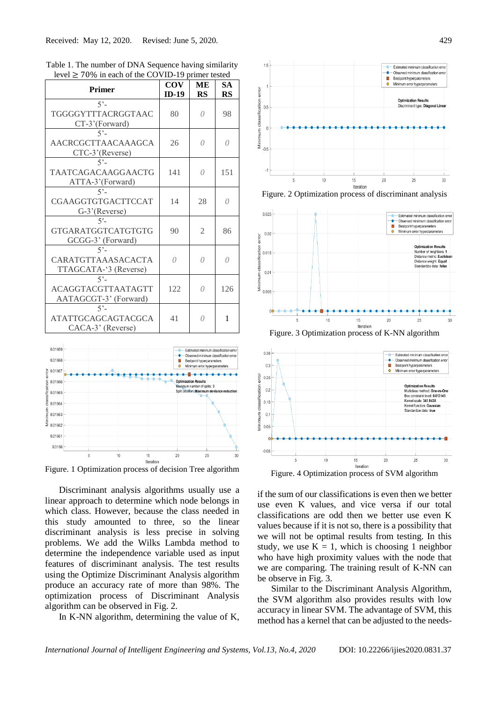| $\sim$ $\sim$ $\sim$<br>$10.0$ in each of the CO $\sqrt{11}$  |                       | ama wowu        |                 |
|---------------------------------------------------------------|-----------------------|-----------------|-----------------|
| <b>Primer</b>                                                 | <b>COV</b><br>$ID-19$ | MЕ<br><b>RS</b> | <b>SA</b><br>RS |
| $5 -$                                                         |                       |                 |                 |
| TGGGGYTTTACRGGTAAC<br>$CT-3'$ (Forward)                       | 80                    | 0               | 98              |
| $5^\circ$                                                     |                       |                 |                 |
| AACRCGCTTAACAAAGCA                                            | 26                    | 0               | 0               |
| CTC-3'(Reverse)<br>$5 -$                                      |                       |                 |                 |
| TAATCAGACAAGGAACTG<br>ATTA-3'(Forward)                        | 141                   | $\Omega$        | 151             |
| $5 -$                                                         |                       |                 |                 |
| CGAAGGTGTGACTTCCAT                                            | 14                    | 28              | 0               |
| G-3'(Reverse)                                                 |                       |                 |                 |
| $5 -$<br>GTGARATGGTCATGTGTG<br>GCGG-3' (Forward)              | 90                    | 2               | 86              |
| $5^\circ$                                                     |                       |                 |                 |
| CARATGTTAAASACACTA<br>TTAGCATA-'3 (Reverse)                   | $\theta$              | $\theta$        | $\Omega$        |
| $5^\circ$                                                     |                       |                 |                 |
| ACAGGTACGTTAATAGTT                                            | 122                   | 0               | 126             |
| AATAGCGT-3' (Forward)                                         |                       |                 |                 |
| $5^{\circ}$<br><b>ATATTGCAGCAGTACGCA</b><br>CACA-3' (Reverse) | 41                    | 0               | 1               |
|                                                               |                       |                 |                 |

Table 1. The number of DNA Sequence having similarity level ≥ 70% in each of the COVID-19 primer tested



Figure. 1 Optimization process of decision Tree algorithm

Discriminant analysis algorithms usually use a linear approach to determine which node belongs in which class. However, because the class needed in this study amounted to three, so the linear discriminant analysis is less precise in solving problems. We add the Wilks Lambda method to determine the independence variable used as input features of discriminant analysis. The test results using the Optimize Discriminant Analysis algorithm produce an accuracy rate of more than 98%. The optimization process of Discriminant Analysis algorithm can be observed in Fig. 2.

In K-NN algorithm, determining the value of K,



Figure. 2 Optimization process of discriminant analysis



Figure. 3 Optimization process of K-NN algorithm



if the sum of our classifications is even then we better use even K values, and vice versa if our total classifications are odd then we better use even K values because if it is not so, there is a possibility that we will not be optimal results from testing. In this study, we use  $K = 1$ , which is choosing 1 neighbor who have high proximity values with the node that we are comparing. The training result of K-NN can be observe in Fig. 3.

Similar to the Discriminant Analysis Algorithm, the SVM algorithm also provides results with low accuracy in linear SVM. The advantage of SVM, this method has a kernel that can be adjusted to the needs-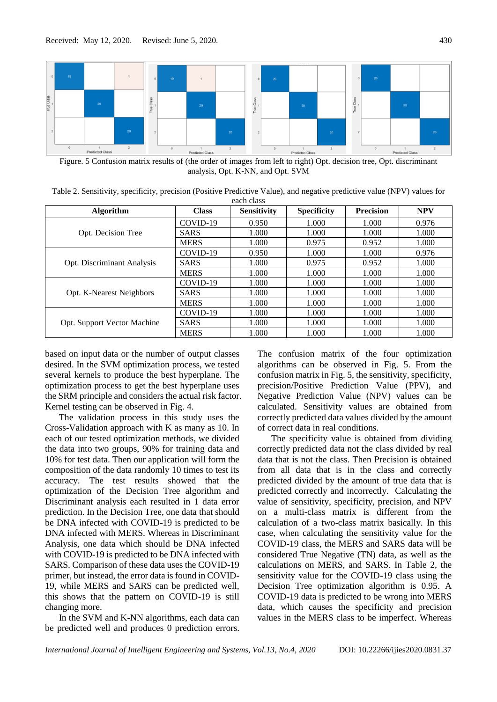

Figure. 5 Confusion matrix results of (the order of images from left to right) Opt. decision tree, Opt. discriminant analysis, Opt. K-NN, and Opt. SVM

| Table 2. Sensitivity, specificity, precision (Positive Predictive Value), and negative predictive value (NPV) values for |
|--------------------------------------------------------------------------------------------------------------------------|
| each class                                                                                                               |

| <b>Algorithm</b>            | <b>Class</b> | <b>Sensitivity</b> | <b>Specificity</b> | <b>Precision</b> | <b>NPV</b> |
|-----------------------------|--------------|--------------------|--------------------|------------------|------------|
| Opt. Decision Tree          | COVID-19     | 0.950              | 1.000              | 1.000            | 0.976      |
|                             | <b>SARS</b>  | 1.000              | 1.000              | 1.000            | 1.000      |
|                             | <b>MERS</b>  | 1.000              | 0.975              | 0.952            | 1.000      |
| Opt. Discriminant Analysis  | COVID-19     | 0.950              | 1.000              | 1.000            | 0.976      |
|                             | <b>SARS</b>  | 1.000              | 0.975              | 0.952            | 1.000      |
|                             | <b>MERS</b>  | 1.000              | 1.000              | 1.000            | 1.000      |
| Opt. K-Nearest Neighbors    | COVID-19     | 1.000              | 1.000              | 1.000            | 1.000      |
|                             | <b>SARS</b>  | 1.000              | 1.000              | 1.000            | 1.000      |
|                             | <b>MERS</b>  | 1.000              | 1.000              | 1.000            | 1.000      |
| Opt. Support Vector Machine | COVID-19     | 1.000              | 1.000              | 1.000            | 1.000      |
|                             | <b>SARS</b>  | 1.000              | 1.000              | 1.000            | 1.000      |
|                             | <b>MERS</b>  | 1.000              | 1.000              | 1.000            | 1.000      |

based on input data or the number of output classes desired. In the SVM optimization process, we tested several kernels to produce the best hyperplane. The optimization process to get the best hyperplane uses the SRM principle and considers the actual risk factor. Kernel testing can be observed in Fig. 4.

The validation process in this study uses the Cross-Validation approach with K as many as 10. In each of our tested optimization methods, we divided the data into two groups, 90% for training data and 10% for test data. Then our application will form the composition of the data randomly 10 times to test its accuracy. The test results showed that the optimization of the Decision Tree algorithm and Discriminant analysis each resulted in 1 data error prediction. In the Decision Tree, one data that should be DNA infected with COVID-19 is predicted to be DNA infected with MERS. Whereas in Discriminant Analysis, one data which should be DNA infected with COVID-19 is predicted to be DNA infected with SARS. Comparison of these data uses the COVID-19 primer, but instead, the error data is found in COVID-19, while MERS and SARS can be predicted well, this shows that the pattern on COVID-19 is still changing more.

In the SVM and K-NN algorithms, each data can be predicted well and produces 0 prediction errors. The confusion matrix of the four optimization algorithms can be observed in Fig. 5. From the confusion matrix in Fig. 5, the sensitivity, specificity, precision/Positive Prediction Value (PPV), and Negative Prediction Value (NPV) values can be calculated. Sensitivity values are obtained from correctly predicted data values divided by the amount of correct data in real conditions.

The specificity value is obtained from dividing correctly predicted data not the class divided by real data that is not the class. Then Precision is obtained from all data that is in the class and correctly predicted divided by the amount of true data that is predicted correctly and incorrectly. Calculating the value of sensitivity, specificity, precision, and NPV on a multi-class matrix is different from the calculation of a two-class matrix basically. In this case, when calculating the sensitivity value for the COVID-19 class, the MERS and SARS data will be considered True Negative (TN) data, as well as the calculations on MERS, and SARS. In Table 2, the sensitivity value for the COVID-19 class using the Decision Tree optimization algorithm is 0.95. A COVID-19 data is predicted to be wrong into MERS data, which causes the specificity and precision values in the MERS class to be imperfect. Whereas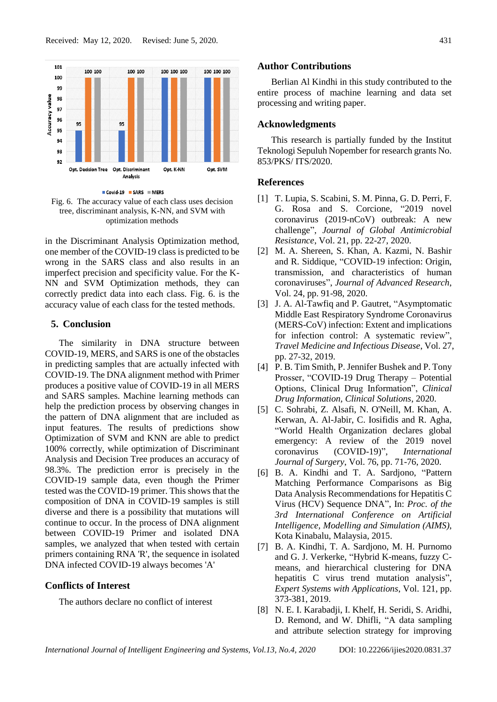

Covid-19 SARS MERS Fig. 6. The accuracy value of each class uses decision tree, discriminant analysis, K-NN, and SVM with optimization methods

in the Discriminant Analysis Optimization method, one member of the COVID-19 class is predicted to be wrong in the SARS class and also results in an imperfect precision and specificity value. For the K-NN and SVM Optimization methods, they can correctly predict data into each class. Fig. 6. is the accuracy value of each class for the tested methods.

## **5. Conclusion**

The similarity in DNA structure between COVID-19, MERS, and SARS is one of the obstacles in predicting samples that are actually infected with COVID-19. The DNA alignment method with Primer produces a positive value of COVID-19 in all MERS and SARS samples. Machine learning methods can help the prediction process by observing changes in the pattern of DNA alignment that are included as input features. The results of predictions show Optimization of SVM and KNN are able to predict 100% correctly, while optimization of Discriminant Analysis and Decision Tree produces an accuracy of 98.3%. The prediction error is precisely in the COVID-19 sample data, even though the Primer tested was the COVID-19 primer. This shows that the composition of DNA in COVID-19 samples is still diverse and there is a possibility that mutations will continue to occur. In the process of DNA alignment between COVID-19 Primer and isolated DNA samples, we analyzed that when tested with certain primers containing RNA 'R', the sequence in isolated DNA infected COVID-19 always becomes 'A'

#### **Conflicts of Interest**

The authors declare no conflict of interest

#### **Author Contributions**

Berlian Al Kindhi in this study contributed to the entire process of machine learning and data set processing and writing paper.

#### **Acknowledgments**

This research is partially funded by the Institut Teknologi Sepuluh Nopember for research grants No. 853/PKS/ ITS/2020.

#### **References**

- [1] T. Lupia, S. Scabini, S. M. Pinna, G. D. Perri, F. G. Rosa and S. Corcione, "2019 novel coronavirus (2019-nCoV) outbreak: A new challenge", *Journal of Global Antimicrobial Resistance*, Vol. 21, pp. 22-27, 2020.
- [2] M. A. Shereen, S. Khan, A. Kazmi, N. Bashir and R. Siddique, "COVID-19 infection: Origin, transmission, and characteristics of human coronaviruses", *Journal of Advanced Research*, Vol. 24, pp. 91-98, 2020.
- [3] J. A. Al-Tawfiq and P. Gautret, "Asymptomatic Middle East Respiratory Syndrome Coronavirus (MERS-CoV) infection: Extent and implications for infection control: A systematic review", *Travel Medicine and Infectious Disease*, Vol. 27, pp. 27-32, 2019.
- [4] P. B. Tim Smith, P. Jennifer Bushek and P. Tony Prosser, "COVID-19 Drug Therapy – Potential Options, Clinical Drug Information", *Clinical Drug Information, Clinical Solutions*, 2020.
- [5] C. Sohrabi, Z. Alsafi, N. O'Neill, M. Khan, A. Kerwan, A. Al-Jabir, C. Iosifidis and R. Agha, "World Health Organization declares global emergency: A review of the 2019 novel coronavirus (COVID-19)", *International Journal of Surgery*, Vol. 76, pp. 71-76, 2020.
- [6] B. A. Kindhi and T. A. Sardjono, "Pattern Matching Performance Comparisons as Big Data Analysis Recommendations for Hepatitis C Virus (HCV) Sequence DNA", In: *Proc. of the 3rd International Conference on Artificial Intelligence, Modelling and Simulation (AIMS)*, Kota Kinabalu, Malaysia, 2015.
- [7] B. A. Kindhi, T. A. Sardjono, M. H. Purnomo and G. J. Verkerke, "Hybrid K-means, fuzzy Cmeans, and hierarchical clustering for DNA hepatitis C virus trend mutation analysis", *Expert Systems with Applications*, Vol. 121, pp. 373-381, 2019.
- [8] N. E. I. Karabadji, I. Khelf, H. Seridi, S. Aridhi, D. Remond, and W. Dhifli, "A data sampling and attribute selection strategy for improving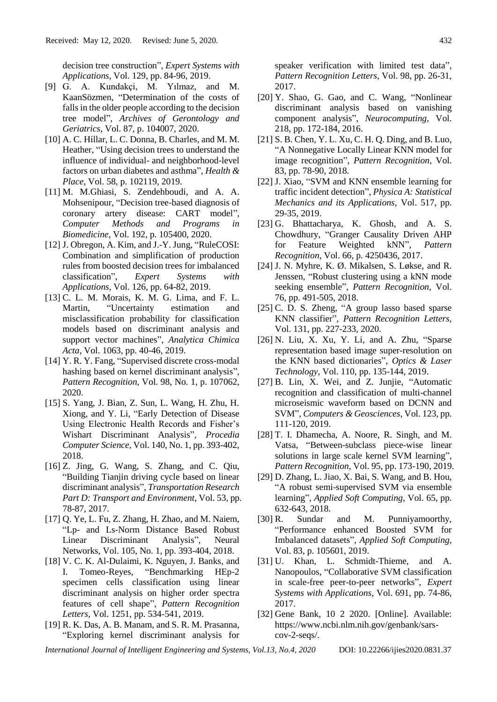decision tree construction", *Expert Systems with Applications*, Vol. 129, pp. 84-96, 2019.

- [9] G. A. Kundakçi, M. Yılmaz, and M. KaanSözmen, "Determination of the costs of falls in the older people according to the decision tree model", *Archives of Gerontology and Geriatrics*, Vol. 87, p. 104007, 2020.
- [10] A. C. Hillar, L. C. Donna, B. Charles, and M. M. Heather, "Using decision trees to understand the influence of individual- and neighborhood-level factors on urban diabetes and asthma", *Health & Place*, Vol. 58, p. 102119, 2019.
- [11] M. M.Ghiasi, S. Zendehboudi, and A. A. Mohsenipour, "Decision tree-based diagnosis of coronary artery disease: CART model", *Computer Methods and Programs in Biomedicine*, Vol. 192, p. 105400, 2020.
- [12] J. Obregon, A. Kim, and J.-Y. Jung, "RuleCOSI: Combination and simplification of production rules from boosted decision trees for imbalanced classification", *Expert Systems with Applications*, Vol. 126, pp. 64-82, 2019.
- [13] C. L. M. Morais, K. M. G. Lima, and F. L. Martin, "Uncertainty estimation and misclassification probability for classification models based on discriminant analysis and support vector machines", *Analytica Chimica Acta*, Vol. 1063, pp. 40-46, 2019.
- [14] Y. R. Y. Fang, "Supervised discrete cross-modal hashing based on kernel discriminant analysis", *Pattern Recognition*, Vol. 98, No. 1, p. 107062, 2020.
- [15] S. Yang, J. Bian, Z. Sun, L. Wang, H. Zhu, H. Xiong, and Y. Li, "Early Detection of Disease Using Electronic Health Records and Fisher's Wishart Discriminant Analysis", *Procedia Computer Science*, Vol. 140, No. 1, pp. 393-402, 2018.
- [16] Z. Jing, G. Wang, S. Zhang, and C. Qiu, "Building Tianjin driving cycle based on linear discriminant analysis", *Transportation Research Part D: Transport and Environment*, Vol. 53, pp. 78-87, 2017.
- [17] Q. Ye, L. Fu, Z. Zhang, H. Zhao, and M. Naiem, "Lp- and Ls-Norm Distance Based Robust Linear Discriminant Analysis", Neural Networks, Vol. 105, No. 1, pp. 393-404, 2018.
- [18] V. C. K. Al-Dulaimi, K. Nguyen, J. Banks, and I. Tomeo-Reyes, "Benchmarking HEp-2 specimen cells classification using linear discriminant analysis on higher order spectra features of cell shape", *Pattern Recognition Letters*, Vol. 1251, pp. 534-541, 2019.
- [19] R. K. Das, A. B. Manam, and S. R. M. Prasanna, "Exploring kernel discriminant analysis for

speaker verification with limited test data", *Pattern Recognition Letters*, Vol. 98, pp. 26-31, 2017.

- [20] Y. Shao, G. Gao, and C. Wang, "Nonlinear discriminant analysis based on vanishing component analysis", *Neurocomputing*, Vol. 218, pp. 172-184, 2016.
- [21] S. B. Chen, Y. L. Xu, C. H. Q. Ding, and B. Luo, "A Nonnegative Locally Linear KNN model for image recognition", *Pattern Recognition*, Vol. 83, pp. 78-90, 2018.
- [22] J. Xiao, "SVM and KNN ensemble learning for traffic incident detection", *Physica A: Statistical Mechanics and its Applications*, Vol. 517, pp. 29-35, 2019.
- [23] G. Bhattacharya, K. Ghosh, and A. S. Chowdhury, "Granger Causality Driven AHP for Feature Weighted kNN", *Pattern Recognition*, Vol. 66, p. 4250436, 2017.
- [24] J. N. Myhre, K. Ø. Mikalsen, S. Løkse, and R. Jenssen, "Robust clustering using a kNN mode seeking ensemble", *Pattern Recognition*, Vol. 76, pp. 491-505, 2018.
- [25] C. D. S. Zheng, "A group lasso based sparse KNN classifier", *Pattern Recognition Letters*, Vol. 131, pp. 227-233, 2020.
- [26] N. Liu, X. Xu, Y. Li, and A. Zhu, "Sparse representation based image super-resolution on the KNN based dictionaries", *Optics & Laser Technology*, Vol. 110, pp. 135-144, 2019.
- [27] B. Lin, X. Wei, and Z. Junjie, "Automatic recognition and classification of multi-channel microseismic waveform based on DCNN and SVM", *Computers & Geosciences*, Vol. 123, pp. 111-120, 2019.
- [28] T. I. Dhamecha, A. Noore, R. Singh, and M. Vatsa, "Between-subclass piece-wise linear solutions in large scale kernel SVM learning", *Pattern Recognition*, Vol. 95, pp. 173-190, 2019.
- [29] D. Zhang, L. Jiao, X. Bai, S. Wang, and B. Hou, "A robust semi-supervised SVM via ensemble learning", *Applied Soft Computing*, Vol. 65, pp. 632-643, 2018.
- [30] R. Sundar and M. Punniyamoorthy, "Performance enhanced Boosted SVM for Imbalanced datasets", *Applied Soft Computing*, Vol. 83, p. 105601, 2019.
- [31] U. Khan, L. Schmidt-Thieme, and A. Nanopoulos, "Collaborative SVM classification in scale-free peer-to-peer networks", *Expert Systems with Applications*, Vol. 691, pp. 74-86, 2017.
- [32] Gene Bank, 10 2 2020. [Online]. Available: https://www.ncbi.nlm.nih.gov/genbank/sarscov-2-seqs/.